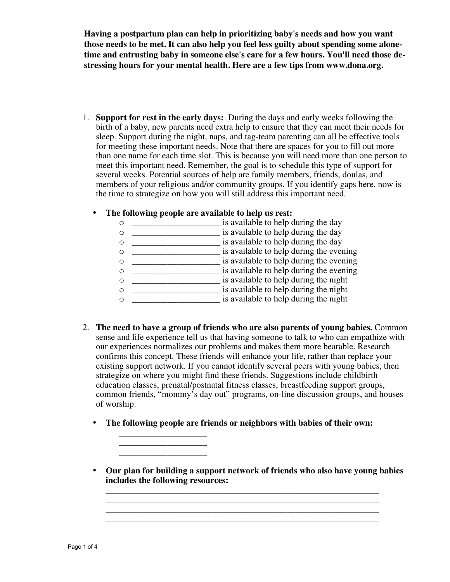**Having a postpartum plan can help in prioritizing baby's needs and how you want those needs to be met. It can also help you feel less guilty about spending some alonetime and entrusting baby in someone else's care for a few hours. You'll need those destressing hours for your mental health. Here are a few tips from www.dona.org.** 

1. **Support for rest in the early days:** During the days and early weeks following the birth of a baby, new parents need extra help to ensure that they can meet their needs for sleep. Support during the night, naps, and tag-team parenting can all be effective tools for meeting these important needs. Note that there are spaces for you to fill out more than one name for each time slot. This is because you will need more than one person to meet this important need. Remember, the goal is to schedule this type of support for several weeks. Potential sources of help are family members, friends, doulas, and members of your religious and/or community groups. If you identify gaps here, now is the time to strategize on how you will still address this important need.

## • **The following people are available to help us rest:**

- o \_\_\_\_\_\_\_\_\_\_\_\_\_\_\_\_\_\_\_\_ is available to help during the day o \_\_\_\_\_\_\_\_\_\_\_\_\_\_\_\_\_\_\_\_ is available to help during the day o \_\_\_\_\_\_\_\_\_\_\_\_\_\_\_\_\_\_\_\_ is available to help during the day o \_\_\_\_\_\_\_\_\_\_\_\_\_\_\_\_\_\_\_\_\_\_\_\_\_\_\_ is available to help during the evening o \_\_\_\_\_\_\_\_\_\_\_\_\_\_\_\_\_\_\_\_ is available to help during the evening o \_\_\_\_\_\_\_\_\_\_\_\_\_\_\_\_\_\_\_\_\_\_\_\_\_\_\_ is available to help during the evening o \_\_\_\_\_\_\_\_\_\_\_\_\_\_\_\_\_\_\_\_ is available to help during the night o \_\_\_\_\_\_\_\_\_\_\_\_\_\_\_\_\_\_\_\_ is available to help during the night o \_\_\_\_\_\_\_\_\_\_\_\_\_\_\_\_\_\_\_\_ is available to help during the night
- 2. **The need to have a group of friends who are also parents of young babies.** Common sense and life experience tell us that having someone to talk to who can empathize with our experiences normalizes our problems and makes them more bearable. Research confirms this concept. These friends will enhance your life, rather than replace your existing support network. If you cannot identify several peers with young babies, then strategize on where you might find these friends. Suggestions include childbirth education classes, prenatal/postnatal fitness classes, breastfeeding support groups, common friends, "mommy's day out" programs, on-line discussion groups, and houses of worship.
	- **The following people are friends or neighbors with babies of their own:**

 $\_$ \_\_\_\_\_\_\_\_\_\_\_\_\_\_\_\_\_\_\_\_ \_\_\_\_\_\_\_\_\_\_\_\_\_\_\_\_\_\_\_\_

• **Our plan for building a support network of friends who also have young babies includes the following resources:**

**\_\_\_\_\_\_\_\_\_\_\_\_\_\_\_\_\_\_\_\_\_\_\_\_\_\_\_\_\_\_\_\_\_\_\_\_\_\_\_\_\_\_\_\_\_\_\_\_\_\_\_\_\_\_\_\_\_\_\_\_\_\_**

**\_\_\_\_\_\_\_\_\_\_\_\_\_\_\_\_\_\_\_\_\_\_\_\_\_\_\_\_\_\_\_\_\_\_\_\_\_\_\_\_\_\_\_\_\_\_\_\_\_\_\_\_\_\_\_\_\_\_\_\_\_\_**

**\_\_\_\_\_\_\_\_\_\_\_\_\_\_\_\_\_\_\_\_\_\_\_\_\_\_\_\_\_\_\_\_\_\_\_\_\_\_\_\_\_\_\_\_\_\_\_\_\_\_\_\_\_\_\_\_\_\_\_\_\_\_ \_\_\_\_\_\_\_\_\_\_\_\_\_\_\_\_\_\_\_\_\_\_\_\_\_\_\_\_\_\_\_\_\_\_\_\_\_\_\_\_\_\_\_\_\_\_\_\_\_\_\_\_\_\_\_\_\_\_\_\_\_\_**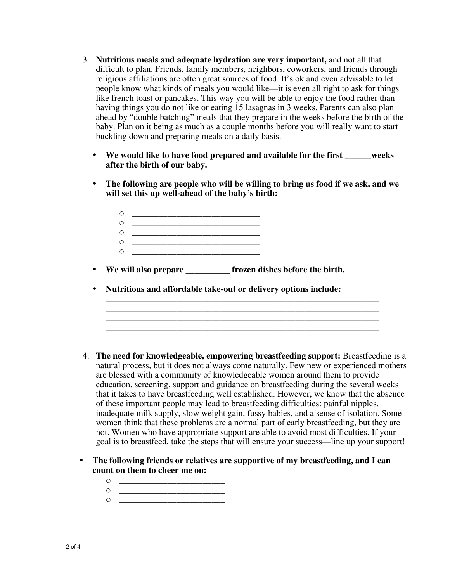- 3. **Nutritious meals and adequate hydration are very important,** and not all that difficult to plan. Friends, family members, neighbors, coworkers, and friends through religious affiliations are often great sources of food. It's ok and even advisable to let people know what kinds of meals you would like—it is even all right to ask for things like french toast or pancakes. This way you will be able to enjoy the food rather than having things you do not like or eating 15 lasagnas in 3 weeks. Parents can also plan ahead by "double batching" meals that they prepare in the weeks before the birth of the baby. Plan on it being as much as a couple months before you will really want to start buckling down and preparing meals on a daily basis.
	- **We would like to have food prepared and available for the first \_\_\_\_\_\_weeks after the birth of our baby.**
	- **The following are people who will be willing to bring us food if we ask, and we will set this up well-ahead of the baby's birth:**
		- o \_\_\_\_\_\_\_\_\_\_\_\_\_\_\_\_\_\_\_\_\_\_\_\_\_\_\_\_\_ o \_\_\_\_\_\_\_\_\_\_\_\_\_\_\_\_\_\_\_\_\_\_\_\_\_\_\_\_\_ o \_\_\_\_\_\_\_\_\_\_\_\_\_\_\_\_\_\_\_\_\_\_\_\_\_\_\_\_\_ o \_\_\_\_\_\_\_\_\_\_\_\_\_\_\_\_\_\_\_\_\_\_\_\_\_\_\_\_\_  $\circ$
	- **We will also prepare \_\_\_\_\_\_\_\_\_\_ frozen dishes before the birth.**
	- **Nutritious and affordable take-out or delivery options include:**
- 4. **The need for knowledgeable, empowering breastfeeding support:** Breastfeeding is a natural process, but it does not always come naturally. Few new or experienced mothers are blessed with a community of knowledgeable women around them to provide education, screening, support and guidance on breastfeeding during the several weeks that it takes to have breastfeeding well established. However, we know that the absence of these important people may lead to breastfeeding difficulties: painful nipples, inadequate milk supply, slow weight gain, fussy babies, and a sense of isolation. Some women think that these problems are a normal part of early breastfeeding, but they are not. Women who have appropriate support are able to avoid most difficulties. If your goal is to breastfeed, take the steps that will ensure your success—line up your support!

**\_\_\_\_\_\_\_\_\_\_\_\_\_\_\_\_\_\_\_\_\_\_\_\_\_\_\_\_\_\_\_\_\_\_\_\_\_\_\_\_\_\_\_\_\_\_\_\_\_\_\_\_\_\_\_\_\_\_\_\_\_\_ \_\_\_\_\_\_\_\_\_\_\_\_\_\_\_\_\_\_\_\_\_\_\_\_\_\_\_\_\_\_\_\_\_\_\_\_\_\_\_\_\_\_\_\_\_\_\_\_\_\_\_\_\_\_\_\_\_\_\_\_\_\_**

- **The following friends or relatives are supportive of my breastfeeding, and I can count on them to cheer me on:**
	- o \_\_\_\_\_\_\_\_\_\_\_\_\_\_\_\_\_\_\_\_\_\_\_\_  $\circ$
	- o <u>\_\_\_\_\_\_\_\_\_\_\_\_\_\_\_\_\_\_\_\_\_\_\_\_\_</u>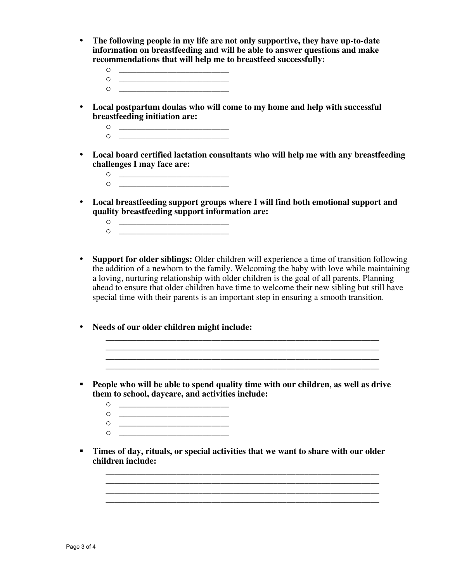- **The following people in my life are not only supportive, they have up-to-date information on breastfeeding and will be able to answer questions and make recommendations that will help me to breastfeed successfully:**
	- o \_\_\_\_\_\_\_\_\_\_\_\_\_\_\_\_\_\_\_\_\_\_\_\_\_ o \_\_\_\_\_\_\_\_\_\_\_\_\_\_\_\_\_\_\_\_\_\_\_\_\_
	- o \_\_\_\_\_\_\_\_\_\_\_\_\_\_\_\_\_\_\_\_\_\_\_\_\_
- **Local postpartum doulas who will come to my home and help with successful breastfeeding initiation are:**
	- $\circ$ o <u>\_\_\_\_\_\_\_\_\_\_\_\_\_\_\_\_\_\_\_\_\_\_\_\_</u>
- **Local board certified lactation consultants who will help me with any breastfeeding challenges I may face are:**
	- o \_\_\_\_\_\_\_\_\_\_\_\_\_\_\_\_\_\_\_\_\_\_\_\_\_  $\circ$
- **Local breastfeeding support groups where I will find both emotional support and quality breastfeeding support information are:**
	- o <u>\_\_\_\_\_\_\_\_\_\_\_\_\_\_\_\_\_\_\_\_\_\_\_\_\_</u>  $\circ$   $\qquad$
- **Support for older siblings:** Older children will experience a time of transition following the addition of a newborn to the family. Welcoming the baby with love while maintaining a loving, nurturing relationship with older children is the goal of all parents. Planning ahead to ensure that older children have time to welcome their new sibling but still have special time with their parents is an important step in ensuring a smooth transition.

**\_\_\_\_\_\_\_\_\_\_\_\_\_\_\_\_\_\_\_\_\_\_\_\_\_\_\_\_\_\_\_\_\_\_\_\_\_\_\_\_\_\_\_\_\_\_\_\_\_\_\_\_\_\_\_\_\_\_\_\_\_\_**

**\_\_\_\_\_\_\_\_\_\_\_\_\_\_\_\_\_\_\_\_\_\_\_\_\_\_\_\_\_\_\_\_\_\_\_\_\_\_\_\_\_\_\_\_\_\_\_\_\_\_\_\_\_\_\_\_\_\_\_\_\_\_ \_\_\_\_\_\_\_\_\_\_\_\_\_\_\_\_\_\_\_\_\_\_\_\_\_\_\_\_\_\_\_\_\_\_\_\_\_\_\_\_\_\_\_\_\_\_\_\_\_\_\_\_\_\_\_\_\_\_\_\_\_\_**

- **Needs of our older children might include:**
- **People who will be able to spend quality time with our children, as well as drive them to school, daycare, and activities include:**
	- o <u>\_\_\_\_\_\_\_\_\_\_\_\_\_\_\_\_\_\_\_\_\_\_\_\_\_</u> o \_\_\_\_\_\_\_\_\_\_\_\_\_\_\_\_\_\_\_\_\_\_\_\_\_ o \_\_\_\_\_\_\_\_\_\_\_\_\_\_\_\_\_\_\_\_\_\_\_\_\_
	- $\circ$
- **Times of day, rituals, or special activities that we want to share with our older children include:**

**\_\_\_\_\_\_\_\_\_\_\_\_\_\_\_\_\_\_\_\_\_\_\_\_\_\_\_\_\_\_\_\_\_\_\_\_\_\_\_\_\_\_\_\_\_\_\_\_\_\_\_\_\_\_\_\_\_\_\_\_\_\_ \_\_\_\_\_\_\_\_\_\_\_\_\_\_\_\_\_\_\_\_\_\_\_\_\_\_\_\_\_\_\_\_\_\_\_\_\_\_\_\_\_\_\_\_\_\_\_\_\_\_\_\_\_\_\_\_\_\_\_\_\_\_ \_\_\_\_\_\_\_\_\_\_\_\_\_\_\_\_\_\_\_\_\_\_\_\_\_\_\_\_\_\_\_\_\_\_\_\_\_\_\_\_\_\_\_\_\_\_\_\_\_\_\_\_\_\_\_\_\_\_\_\_\_\_**